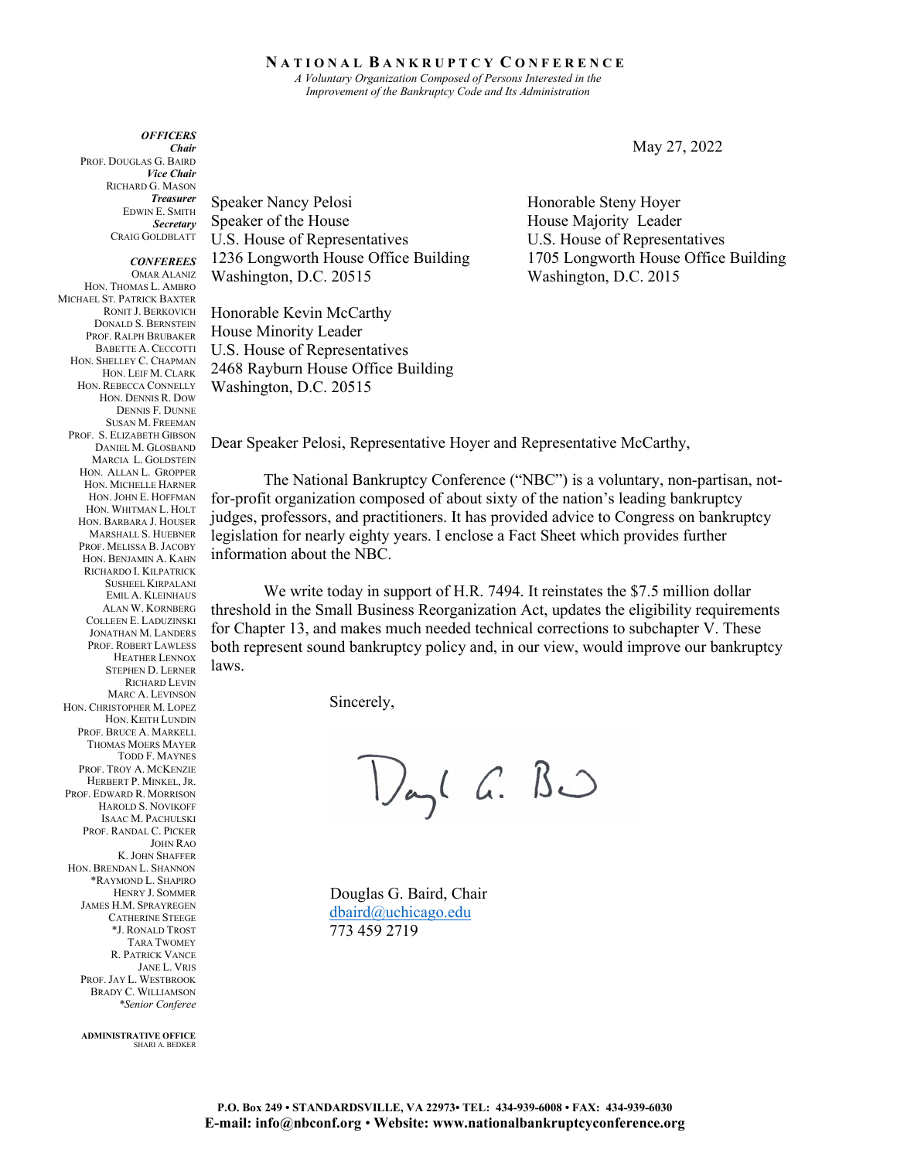## **N A T I O N A L B A N K R U P T C Y C O N F E R E N C E**

*A Voluntary Organization Composed of Persons Interested in the Improvement of the Bankruptcy Code and Its Administration* 

*OFFICERS Chair* PROF. DOUGLAS G. BAIRD *Vice Chair* RICHARD G. MASON *Treasurer* EDWIN E. SMITH *Secretary* CRAIG GOLDBLATT

*CONFEREES* OMAR ALANIZ HON. THOMAS L. AMBRO MICHAEL ST. PATRICK BAXTER RONIT J. BERKOVICH DONALD S. BERNSTEIN PROF. RALPH BRUBAKER BABETTE A. CECCOTTI HON. SHELLEY C. CHAPMAN HON. LEIF M. CLARK HON. REBECCA CONNELLY HON. DENNIS R. DOW DENNIS F. DUNNE SUSAN M. FREEMAN PROF. S. ELIZABETH GIBSON DANIEL M. GLOSBAND MARCIA L. GOLDSTEIN HON. ALLAN L. GROPPER HON. MICHELLE HARNER HON.JOHN E. HOFFMAN HON. WHITMAN L. HOLT HON. BARBARA J. HOUSER MARSHALL S. HUEBNER PROF. MELISSA B.JACOBY HON. BENJAMIN A. KAHN RICHARDO I. KILPATRICK SUSHEEL KIRPALANI EMIL A. KLEINHAUS ALAN W. KORNBERG COLLEEN E. LADUZINSKI JONATHAN M. LANDERS PROF. ROBERT LAWLESS HEATHER LENNOX STEPHEN D. LERNER RICHARD LEVIN MARC A. LEVINSON HON. CHRISTOPHER M. LOPEZ HON. KEITH LUNDIN PROF. BRUCE A. MARKELL THOMAS MOERS MAYER TODD F. MAYNES PROF. TROY A. MCKENZIE HERBERT P. MINKEL, JR. PROF. EDWARD R. MORRISON HAROLD S. NOVIKOFF ISAAC M. PACHULSKI PROF. RANDAL C. PICKER JOHN RAO K.JOHN SHAFFER HON. BRENDAN L. SHANNON \*RAYMOND L. SHAPIRO HENRY J. SOMMER JAMES H.M. SPRAYREGEN CATHERINE STEEGE \*J. RONALD TROST TARA TWOMEY R. PATRICK VANCE JANE L. VRIS PROF.JAY L. WESTBROOK BRADY C. WILLIAMSON

> **ADMINISTRATIVE OFFICE** SHARI A. BEDKER

*\*Senior Conferee*

Speaker Nancy Pelosi Honorable Steny Hoyer Speaker of the House Majority Leader U.S. House of Representatives U.S. House of Representatives 1236 Longworth House Office Building 1705 Longworth House Office Building Washington, D.C. 20515 Washington, D.C. 2015

Honorable Kevin McCarthy House Minority Leader U.S. House of Representatives 2468 Rayburn House Office Building Washington, D.C. 20515

Dear Speaker Pelosi, Representative Hoyer and Representative McCarthy,

The National Bankruptcy Conference ("NBC") is a voluntary, non-partisan, notfor-profit organization composed of about sixty of the nation's leading bankruptcy judges, professors, and practitioners. It has provided advice to Congress on bankruptcy legislation for nearly eighty years. I enclose a Fact Sheet which provides further information about the NBC.

We write today in support of H.R. 7494. It reinstates the \$7.5 million dollar threshold in the Small Business Reorganization Act, updates the eligibility requirements for Chapter 13, and makes much needed technical corrections to subchapter V. These both represent sound bankruptcy policy and, in our view, would improve our bankruptcy laws.

Sincerely,

Vayl G. BO

Douglas G. Baird, Chair [dbaird@uchicago.edu](mailto:dbaird@uchicago.edu) 773 459 2719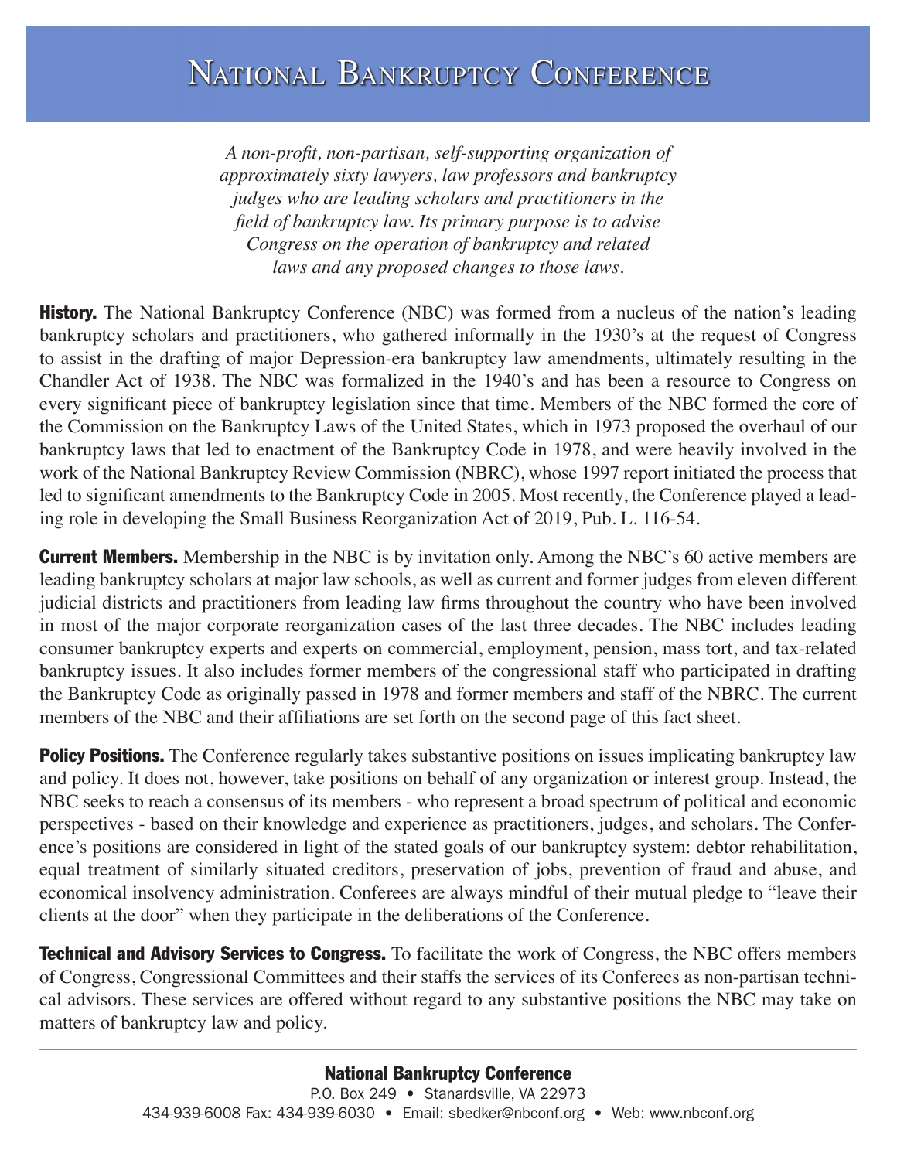*A non-profit, non-partisan, self-supporting organization of approximately sixty lawyers, law professors and bankruptcy judges who are leading scholars and practitioners in the field of bankruptcy law. Its primary purpose is to advise Congress on the operation of bankruptcy and related laws and any proposed changes to those laws.*

**History.** The National Bankruptcy Conference (NBC) was formed from a nucleus of the nation's leading bankruptcy scholars and practitioners, who gathered informally in the 1930's at the request of Congress to assist in the drafting of major Depression-era bankruptcy law amendments, ultimately resulting in the Chandler Act of 1938. The NBC was formalized in the 1940's and has been a resource to Congress on every significant piece of bankruptcy legislation since that time. Members of the NBC formed the core of the Commission on the Bankruptcy Laws of the United States, which in 1973 proposed the overhaul of our bankruptcy laws that led to enactment of the Bankruptcy Code in 1978, and were heavily involved in the work of the National Bankruptcy Review Commission (NBRC), whose 1997 report initiated the process that led to significant amendments to the Bankruptcy Code in 2005. Most recently, the Conference played a leading role in developing the Small Business Reorganization Act of 2019, Pub. L. 116-54.

**Current Members.** Membership in the NBC is by invitation only. Among the NBC's 60 active members are leading bankruptcy scholars at major law schools, as well as current and former judges from eleven different judicial districts and practitioners from leading law firms throughout the country who have been involved in most of the major corporate reorganization cases of the last three decades. The NBC includes leading consumer bankruptcy experts and experts on commercial, employment, pension, mass tort, and tax-related bankruptcy issues. It also includes former members of the congressional staff who participated in drafting the Bankruptcy Code as originally passed in 1978 and former members and staff of the NBRC. The current members of the NBC and their affiliations are set forth on the second page of this fact sheet.

**Policy Positions.** The Conference regularly takes substantive positions on issues implicating bankruptcy law and policy. It does not, however, take positions on behalf of any organization or interest group. Instead, the NBC seeks to reach a consensus of its members - who represent a broad spectrum of political and economic perspectives - based on their knowledge and experience as practitioners, judges, and scholars. The Conference's positions are considered in light of the stated goals of our bankruptcy system: debtor rehabilitation, equal treatment of similarly situated creditors, preservation of jobs, prevention of fraud and abuse, and economical insolvency administration. Conferees are always mindful of their mutual pledge to "leave their clients at the door" when they participate in the deliberations of the Conference.

**Technical and Advisory Services to Congress.** To facilitate the work of Congress, the NBC offers members of Congress, Congressional Committees and their staffs the services of its Conferees as non-partisan technical advisors. These services are offered without regard to any substantive positions the NBC may take on matters of bankruptcy law and policy.